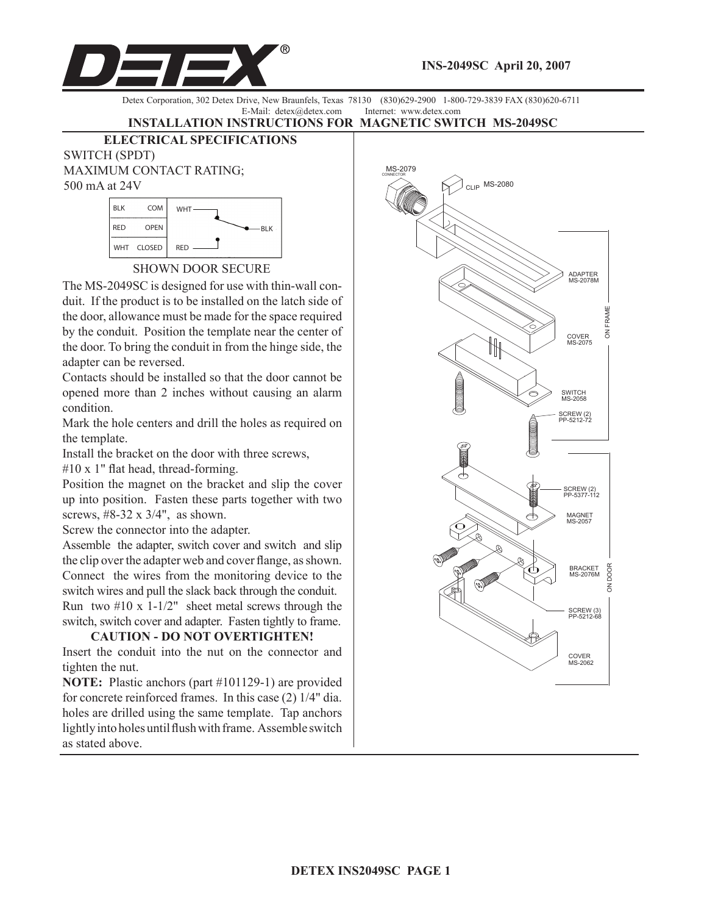

Detex Corporation, 302 Detex Drive, New Braunfels, Texas 78130 (830)629-2900 1-800-729-3839 FAX (830)620-6711 E-Mail: detex@detex.com Internet: www.detex.com

## **INSTALLATION INSTRUCTIONS FOR MAGNETIC SWITCH MS-2049SC**

**ELECTRICAL SPECIFICATIONS** SWITCH (SPDT)

MAXIMUM CONTACT RATING; 500 mA at 24V



SHOWN DOOR SECURE

The MS-2049SC is designed for use with thin-wall conduit. If the product is to be installed on the latch side of the door, allowance must be made for the space required by the conduit. Position the template near the center of the door. To bring the conduit in from the hinge side, the adapter can be reversed.

Contacts should be installed so that the door cannot be opened more than 2 inches without causing an alarm condition.

Mark the hole centers and drill the holes as required on the template.

Install the bracket on the door with three screws,

#10 x 1" flat head, thread-forming.

Position the magnet on the bracket and slip the cover up into position. Fasten these parts together with two screws, #8-32 x 3/4", as shown.

Screw the connector into the adapter.

Assemble the adapter, switch cover and switch and slip the clip over the adapter web and cover flange, as shown. Connect the wires from the monitoring device to the switch wires and pull the slack back through the conduit. Run two  $#10 \times 1-1/2$ " sheet metal screws through the switch, switch cover and adapter. Fasten tightly to frame.

**CAUTION - DO NOT OVERTIGHTEN!** Insert the conduit into the nut on the connector and tighten the nut.

**NOTE:** Plastic anchors (part #101129-1) are provided for concrete reinforced frames. In this case (2) 1/4" dia. holes are drilled using the same template. Tap anchors lightly into holes until flush with frame. Assemble switch as stated above.